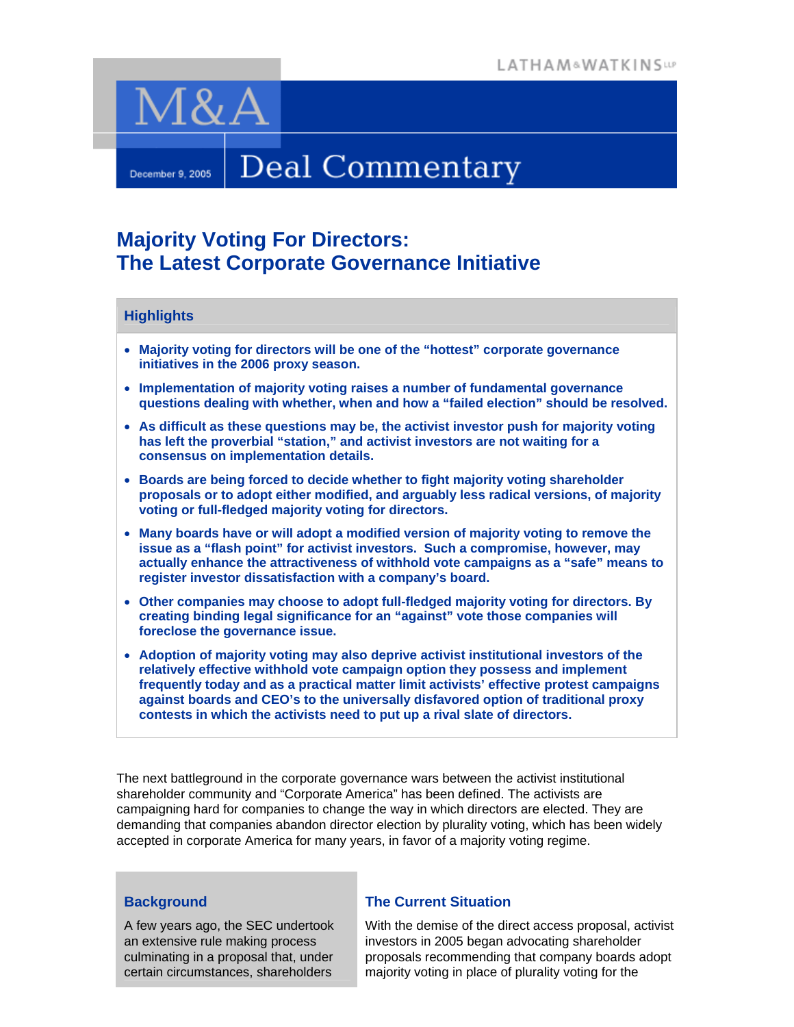

# Deal Commentary

# **Majority Voting For Directors: The Latest Corporate Governance Initiative**

# **Highlights**

December 9, 2005

- **Majority voting for directors will be one of the "hottest" corporate governance initiatives in the 2006 proxy season.**
- **Implementation of majority voting raises a number of fundamental governance questions dealing with whether, when and how a "failed election" should be resolved.**
- **As difficult as these questions may be, the activist investor push for majority voting has left the proverbial "station," and activist investors are not waiting for a consensus on implementation details.**
- **Boards are being forced to decide whether to fight majority voting shareholder proposals or to adopt either modified, and arguably less radical versions, of majority voting or full-fledged majority voting for directors.**
- **Many boards have or will adopt a modified version of majority voting to remove the issue as a "flash point" for activist investors. Such a compromise, however, may actually enhance the attractiveness of withhold vote campaigns as a "safe" means to register investor dissatisfaction with a company's board.**
- **Other companies may choose to adopt full-fledged majority voting for directors. By creating binding legal significance for an "against" vote those companies will foreclose the governance issue.**
- **Adoption of majority voting may also deprive activist institutional investors of the relatively effective withhold vote campaign option they possess and implement frequently today and as a practical matter limit activists' effective protest campaigns against boards and CEO's to the universally disfavored option of traditional proxy contests in which the activists need to put up a rival slate of directors.**

The next battleground in the corporate governance wars between the activist institutional shareholder community and "Corporate America" has been defined. The activists are campaigning hard for companies to change the way in which directors are elected. They are demanding that companies abandon director election by plurality voting, which has been widely accepted in corporate America for many years, in favor of a majority voting regime.

## **Background**

A few years ago, the SEC undertook an extensive rule making process culminating in a proposal that, under certain circumstances, shareholders

## **The Current Situation**

With the demise of the direct access proposal, activist investors in 2005 began advocating shareholder proposals recommending that company boards adopt majority voting in place of plurality voting for the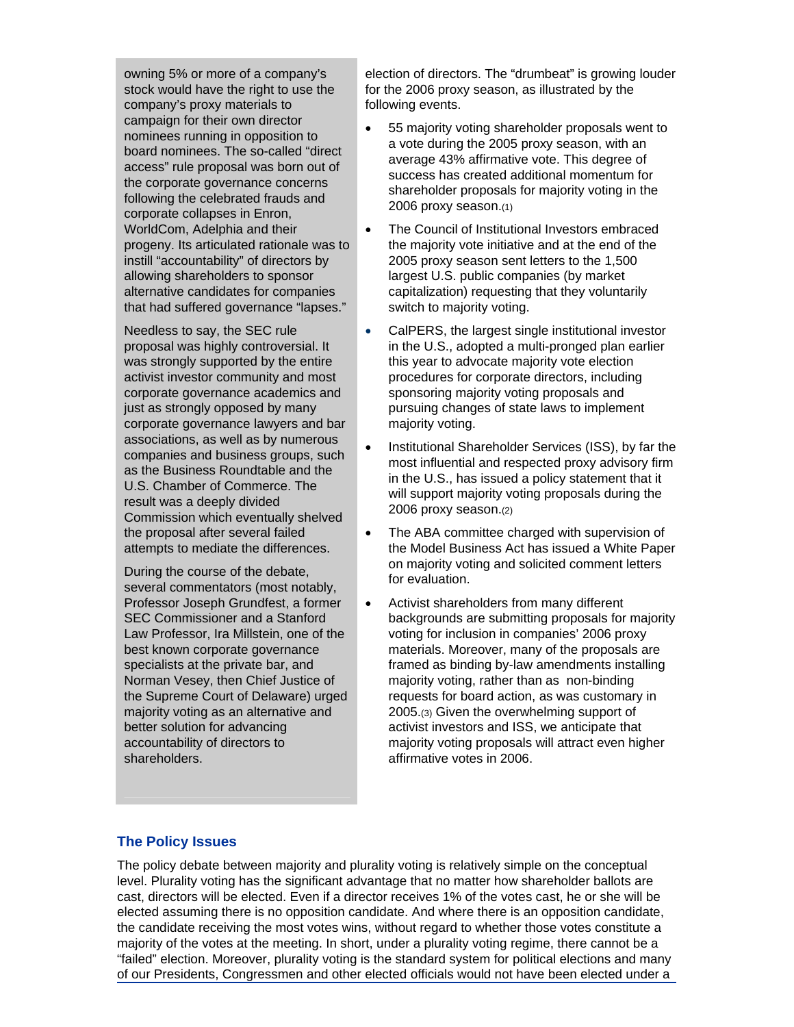owning 5% or more of a company's stock would have the right to use the company's proxy materials to campaign for their own director nominees running in opposition to board nominees. The so-called "direct access" rule proposal was born out of the corporate governance concerns following the celebrated frauds and corporate collapses in Enron, WorldCom, Adelphia and their progeny. Its articulated rationale was to instill "accountability" of directors by allowing shareholders to sponsor alternative candidates for companies that had suffered governance "lapses."

Needless to say, the SEC rule proposal was highly controversial. It was strongly supported by the entire activist investor community and most corporate governance academics and just as strongly opposed by many corporate governance lawyers and bar associations, as well as by numerous companies and business groups, such as the Business Roundtable and the U.S. Chamber of Commerce. The result was a deeply divided Commission which eventually shelved the proposal after several failed attempts to mediate the differences.

During the course of the debate, several commentators (most notably, Professor Joseph Grundfest, a former SEC Commissioner and a Stanford Law Professor, Ira Millstein, one of the best known corporate governance specialists at the private bar, and Norman Vesey, then Chief Justice of the Supreme Court of Delaware) urged majority voting as an alternative and better solution for advancing accountability of directors to shareholders.

election of directors. The "drumbeat" is growing louder for the 2006 proxy season, as illustrated by the following events.

- 55 majority voting shareholder proposals went to a vote during the 2005 proxy season, with an average 43% affirmative vote. This degree of success has created additional momentum for shareholder proposals for majority voting in the 2006 proxy season.(1)
- The Council of Institutional Investors embraced the majority vote initiative and at the end of the 2005 proxy season sent letters to the 1,500 largest U.S. public companies (by market capitalization) requesting that they voluntarily switch to majority voting.
- CalPERS, the largest single institutional investor in the U.S., adopted a multi-pronged plan earlier this year to advocate majority vote election procedures for corporate directors, including sponsoring majority voting proposals and pursuing changes of state laws to implement majority voting.
- Institutional Shareholder Services (ISS), by far the most influential and respected proxy advisory firm in the U.S., has issued a policy statement that it will support majority voting proposals during the 2006 proxy season.(2)
- The ABA committee charged with supervision of the Model Business Act has issued a White Paper on majority voting and solicited comment letters for evaluation.
- Activist shareholders from many different backgrounds are submitting proposals for majority voting for inclusion in companies' 2006 proxy materials. Moreover, many of the proposals are framed as binding by-law amendments installing majority voting, rather than as non-binding requests for board action, as was customary in 2005.(3) Given the overwhelming support of activist investors and ISS, we anticipate that majority voting proposals will attract even higher affirmative votes in 2006.

#### **The Policy Issues**

The policy debate between majority and plurality voting is relatively simple on the conceptual level. Plurality voting has the significant advantage that no matter how shareholder ballots are cast, directors will be elected. Even if a director receives 1% of the votes cast, he or she will be elected assuming there is no opposition candidate. And where there is an opposition candidate, the candidate receiving the most votes wins, without regard to whether those votes constitute a majority of the votes at the meeting. In short, under a plurality voting regime, there cannot be a "failed" election. Moreover, plurality voting is the standard system for political elections and many of our Presidents, Congressmen and other elected officials would not have been elected under a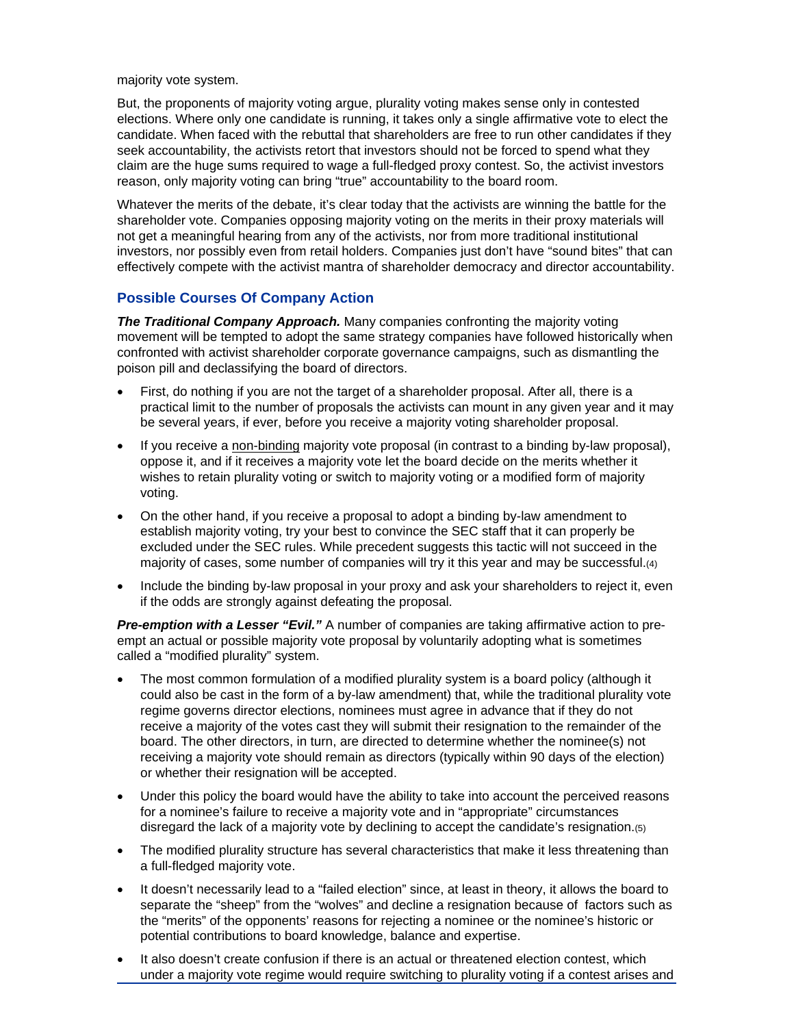majority vote system.

But, the proponents of majority voting argue, plurality voting makes sense only in contested elections. Where only one candidate is running, it takes only a single affirmative vote to elect the candidate. When faced with the rebuttal that shareholders are free to run other candidates if they seek accountability, the activists retort that investors should not be forced to spend what they claim are the huge sums required to wage a full-fledged proxy contest. So, the activist investors reason, only majority voting can bring "true" accountability to the board room.

Whatever the merits of the debate, it's clear today that the activists are winning the battle for the shareholder vote. Companies opposing majority voting on the merits in their proxy materials will not get a meaningful hearing from any of the activists, nor from more traditional institutional investors, nor possibly even from retail holders. Companies just don't have "sound bites" that can effectively compete with the activist mantra of shareholder democracy and director accountability.

#### **Possible Courses Of Company Action**

*The Traditional Company Approach.* Many companies confronting the majority voting movement will be tempted to adopt the same strategy companies have followed historically when confronted with activist shareholder corporate governance campaigns, such as dismantling the poison pill and declassifying the board of directors.

- First, do nothing if you are not the target of a shareholder proposal. After all, there is a practical limit to the number of proposals the activists can mount in any given year and it may be several years, if ever, before you receive a majority voting shareholder proposal.
- If you receive a non-binding majority vote proposal (in contrast to a binding by-law proposal), oppose it, and if it receives a majority vote let the board decide on the merits whether it wishes to retain plurality voting or switch to majority voting or a modified form of majority voting.
- On the other hand, if you receive a proposal to adopt a binding by-law amendment to establish majority voting, try your best to convince the SEC staff that it can properly be excluded under the SEC rules. While precedent suggests this tactic will not succeed in the majority of cases, some number of companies will try it this year and may be successful.(4)
- Include the binding by-law proposal in your proxy and ask your shareholders to reject it, even if the odds are strongly against defeating the proposal.

**Pre-emption with a Lesser "Evil."** A number of companies are taking affirmative action to preempt an actual or possible majority vote proposal by voluntarily adopting what is sometimes called a "modified plurality" system.

- The most common formulation of a modified plurality system is a board policy (although it could also be cast in the form of a by-law amendment) that, while the traditional plurality vote regime governs director elections, nominees must agree in advance that if they do not receive a majority of the votes cast they will submit their resignation to the remainder of the board. The other directors, in turn, are directed to determine whether the nominee(s) not receiving a majority vote should remain as directors (typically within 90 days of the election) or whether their resignation will be accepted.
- Under this policy the board would have the ability to take into account the perceived reasons for a nominee's failure to receive a majority vote and in "appropriate" circumstances disregard the lack of a majority vote by declining to accept the candidate's resignation.(5)
- The modified plurality structure has several characteristics that make it less threatening than a full-fledged majority vote.
- It doesn't necessarily lead to a "failed election" since, at least in theory, it allows the board to separate the "sheep" from the "wolves" and decline a resignation because of factors such as the "merits" of the opponents' reasons for rejecting a nominee or the nominee's historic or potential contributions to board knowledge, balance and expertise.
- It also doesn't create confusion if there is an actual or threatened election contest, which under a majority vote regime would require switching to plurality voting if a contest arises and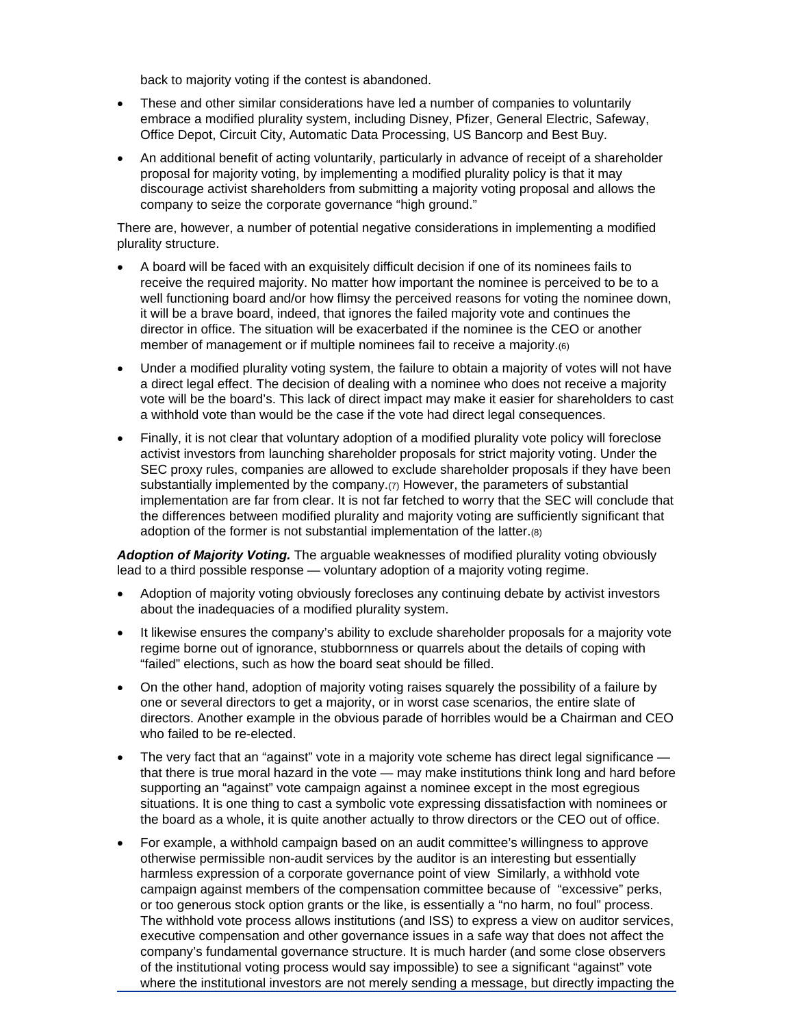back to majority voting if the contest is abandoned.

- These and other similar considerations have led a number of companies to voluntarily embrace a modified plurality system, including Disney, Pfizer, General Electric, Safeway, Office Depot, Circuit City, Automatic Data Processing, US Bancorp and Best Buy.
- An additional benefit of acting voluntarily, particularly in advance of receipt of a shareholder proposal for majority voting, by implementing a modified plurality policy is that it may discourage activist shareholders from submitting a majority voting proposal and allows the company to seize the corporate governance "high ground."

There are, however, a number of potential negative considerations in implementing a modified plurality structure.

- A board will be faced with an exquisitely difficult decision if one of its nominees fails to receive the required majority. No matter how important the nominee is perceived to be to a well functioning board and/or how flimsy the perceived reasons for voting the nominee down, it will be a brave board, indeed, that ignores the failed majority vote and continues the director in office. The situation will be exacerbated if the nominee is the CEO or another member of management or if multiple nominees fail to receive a majority.(6)
- Under a modified plurality voting system, the failure to obtain a majority of votes will not have a direct legal effect. The decision of dealing with a nominee who does not receive a majority vote will be the board's. This lack of direct impact may make it easier for shareholders to cast a withhold vote than would be the case if the vote had direct legal consequences.
- Finally, it is not clear that voluntary adoption of a modified plurality vote policy will foreclose activist investors from launching shareholder proposals for strict majority voting. Under the SEC proxy rules, companies are allowed to exclude shareholder proposals if they have been substantially implemented by the company.(7) However, the parameters of substantial implementation are far from clear. It is not far fetched to worry that the SEC will conclude that the differences between modified plurality and majority voting are sufficiently significant that adoption of the former is not substantial implementation of the latter.(8)

*Adoption of Majority Voting.* The arguable weaknesses of modified plurality voting obviously lead to a third possible response — voluntary adoption of a majority voting regime.

- Adoption of majority voting obviously forecloses any continuing debate by activist investors about the inadequacies of a modified plurality system.
- It likewise ensures the company's ability to exclude shareholder proposals for a majority vote regime borne out of ignorance, stubbornness or quarrels about the details of coping with "failed" elections, such as how the board seat should be filled.
- On the other hand, adoption of majority voting raises squarely the possibility of a failure by one or several directors to get a majority, or in worst case scenarios, the entire slate of directors. Another example in the obvious parade of horribles would be a Chairman and CEO who failed to be re-elected.
- The very fact that an "against" vote in a majority vote scheme has direct legal significance that there is true moral hazard in the vote — may make institutions think long and hard before supporting an "against" vote campaign against a nominee except in the most egregious situations. It is one thing to cast a symbolic vote expressing dissatisfaction with nominees or the board as a whole, it is quite another actually to throw directors or the CEO out of office.
- For example, a withhold campaign based on an audit committee's willingness to approve otherwise permissible non-audit services by the auditor is an interesting but essentially harmless expression of a corporate governance point of view Similarly, a withhold vote campaign against members of the compensation committee because of "excessive" perks, or too generous stock option grants or the like, is essentially a "no harm, no foul" process. The withhold vote process allows institutions (and ISS) to express a view on auditor services, executive compensation and other governance issues in a safe way that does not affect the company's fundamental governance structure. It is much harder (and some close observers of the institutional voting process would say impossible) to see a significant "against" vote where the institutional investors are not merely sending a message, but directly impacting the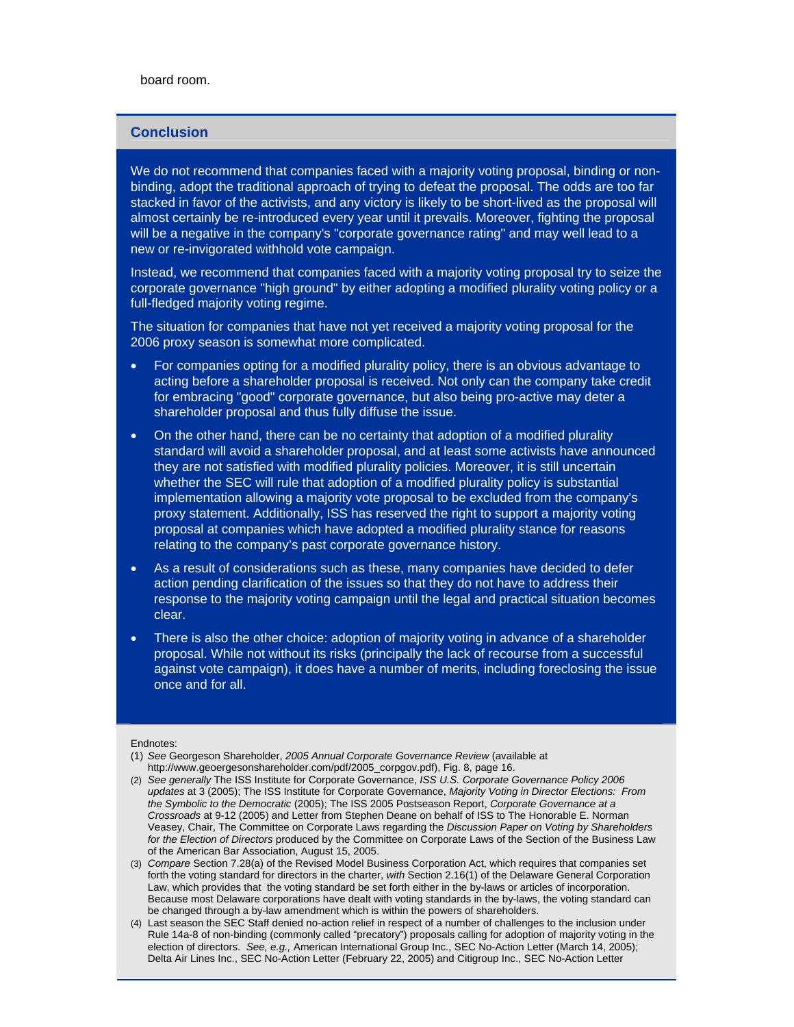board room.

#### **Conclusion**

We do not recommend that companies faced with a majority voting proposal, binding or nonbinding, adopt the traditional approach of trying to defeat the proposal. The odds are too far stacked in favor of the activists, and any victory is likely to be short-lived as the proposal will almost certainly be re-introduced every year until it prevails. Moreover, fighting the proposal will be a negative in the company's "corporate governance rating" and may well lead to a new or re-invigorated withhold vote campaign.

Instead, we recommend that companies faced with a majority voting proposal try to seize the corporate governance "high ground" by either adopting a modified plurality voting policy or a full-fledged majority voting regime.

The situation for companies that have not yet received a majority voting proposal for the 2006 proxy season is somewhat more complicated.

- For companies opting for a modified plurality policy, there is an obvious advantage to acting before a shareholder proposal is received. Not only can the company take credit for embracing "good" corporate governance, but also being pro-active may deter a shareholder proposal and thus fully diffuse the issue.
- On the other hand, there can be no certainty that adoption of a modified plurality standard will avoid a shareholder proposal, and at least some activists have announced they are not satisfied with modified plurality policies. Moreover, it is still uncertain whether the SEC will rule that adoption of a modified plurality policy is substantial implementation allowing a majority vote proposal to be excluded from the company's proxy statement. Additionally, ISS has reserved the right to support a majority voting proposal at companies which have adopted a modified plurality stance for reasons relating to the company's past corporate governance history.
- As a result of considerations such as these, many companies have decided to defer action pending clarification of the issues so that they do not have to address their response to the majority voting campaign until the legal and practical situation becomes clear.
- There is also the other choice: adoption of majority voting in advance of a shareholder proposal. While not without its risks (principally the lack of recourse from a successful against vote campaign), it does have a number of merits, including foreclosing the issue once and for all.

Endnotes:

- (1) *See* Georgeson Shareholder, *2005 Annual Corporate Governance Review* (available at http://www.geoergesonshareholder.com/pdf/2005\_corpgov.pdf), Fig. 8, page 16.
- (2) *See generally* The ISS Institute for Corporate Governance, *ISS U.S. Corporate Governance Policy 2006 updates* at 3 (2005); The ISS Institute for Corporate Governance, *Majority Voting in Director Elections: From the Symbolic to the Democratic* (2005); The ISS 2005 Postseason Report, *Corporate Governance at a Crossroads* at 9-12 (2005) and Letter from Stephen Deane on behalf of ISS to The Honorable E. Norman Veasey, Chair, The Committee on Corporate Laws regarding the *Discussion Paper on Voting by Shareholders for the Election of Directors* produced by the Committee on Corporate Laws of the Section of the Business Law of the American Bar Association, August 15, 2005.
- (3) *Compare* Section 7.28(a) of the Revised Model Business Corporation Act, which requires that companies set forth the voting standard for directors in the charter, *with* Section 2.16(1) of the Delaware General Corporation Law, which provides that the voting standard be set forth either in the by-laws or articles of incorporation. Because most Delaware corporations have dealt with voting standards in the by-laws, the voting standard can be changed through a by-law amendment which is within the powers of shareholders.
- (4) Last season the SEC Staff denied no-action relief in respect of a number of challenges to the inclusion under Rule 14a-8 of non-binding (commonly called "precatory") proposals calling for adoption of majority voting in the election of directors. *See, e.g.,* American International Group Inc., SEC No-Action Letter (March 14, 2005); Delta Air Lines Inc., SEC No-Action Letter (February 22, 2005) and Citigroup Inc., SEC No-Action Letter